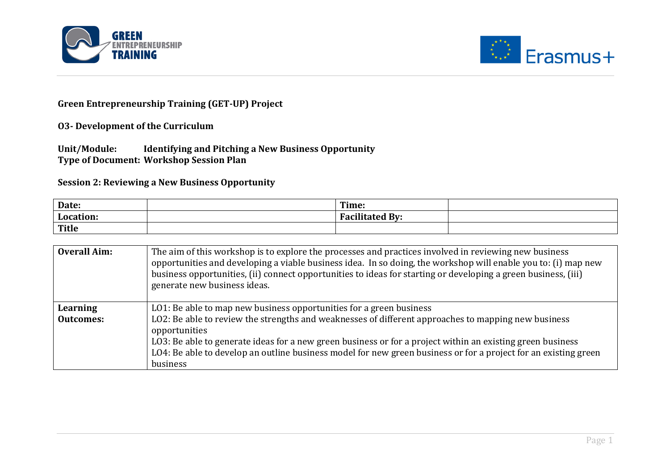



## **Green Entrepreneurship Training (GET-UP) Project**

**O3-** Development of the Curriculum

Unit/Module: Identifying and Pitching a New Business Opportunity **Type of Document: Workshop Session Plan** 

**Session 2: Reviewing a New Business Opportunity** 

| Date:        | Time:            |  |
|--------------|------------------|--|
| Location     | $\mathbf{H}$ By: |  |
| <b>Title</b> |                  |  |

| <b>Overall Aim:</b> | The aim of this workshop is to explore the processes and practices involved in reviewing new business<br>opportunities and developing a viable business idea. In so doing, the workshop will enable you to: (i) map new<br>business opportunities, (ii) connect opportunities to ideas for starting or developing a green business, (iii)<br>generate new business ideas. |
|---------------------|---------------------------------------------------------------------------------------------------------------------------------------------------------------------------------------------------------------------------------------------------------------------------------------------------------------------------------------------------------------------------|
| Learning            | LO1: Be able to map new business opportunities for a green business                                                                                                                                                                                                                                                                                                       |
| <b>Outcomes:</b>    | LO2: Be able to review the strengths and weaknesses of different approaches to mapping new business                                                                                                                                                                                                                                                                       |
|                     | opportunities                                                                                                                                                                                                                                                                                                                                                             |
|                     | LO3: Be able to generate ideas for a new green business or for a project within an existing green business                                                                                                                                                                                                                                                                |
|                     | LO4: Be able to develop an outline business model for new green business or for a project for an existing green                                                                                                                                                                                                                                                           |
|                     | business                                                                                                                                                                                                                                                                                                                                                                  |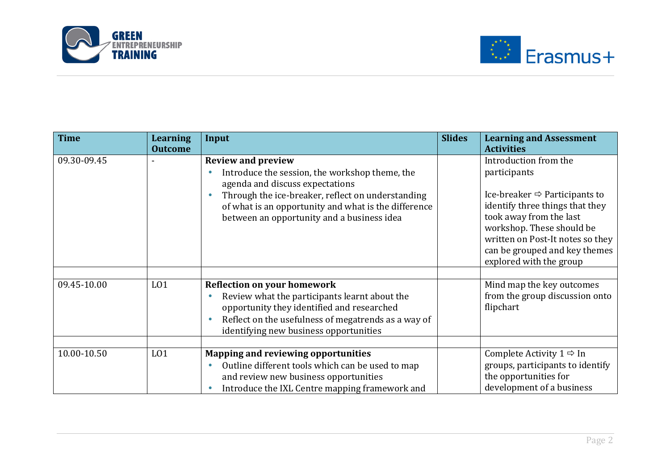



| <b>Time</b> | <b>Learning</b><br><b>Outcome</b> | Input                                                                                                                                                                                                                                                                     | <b>Slides</b> | <b>Learning and Assessment</b><br><b>Activities</b>                                                                                                                                                                                                                           |
|-------------|-----------------------------------|---------------------------------------------------------------------------------------------------------------------------------------------------------------------------------------------------------------------------------------------------------------------------|---------------|-------------------------------------------------------------------------------------------------------------------------------------------------------------------------------------------------------------------------------------------------------------------------------|
| 09.30-09.45 |                                   | <b>Review and preview</b><br>Introduce the session, the workshop theme, the<br>agenda and discuss expectations<br>Through the ice-breaker, reflect on understanding<br>of what is an opportunity and what is the difference<br>between an opportunity and a business idea |               | Introduction from the<br>participants<br>Ice-breaker $\Rightarrow$ Participants to<br>identify three things that they<br>took away from the last<br>workshop. These should be<br>written on Post-It notes so they<br>can be grouped and key themes<br>explored with the group |
|             |                                   |                                                                                                                                                                                                                                                                           |               |                                                                                                                                                                                                                                                                               |
| 09.45-10.00 | L <sub>01</sub>                   | <b>Reflection on your homework</b><br>Review what the participants learnt about the<br>opportunity they identified and researched<br>Reflect on the usefulness of megatrends as a way of<br>identifying new business opportunities                                        |               | Mind map the key outcomes<br>from the group discussion onto<br>flipchart                                                                                                                                                                                                      |
|             |                                   |                                                                                                                                                                                                                                                                           |               |                                                                                                                                                                                                                                                                               |
| 10.00-10.50 | L <sub>01</sub>                   | <b>Mapping and reviewing opportunities</b><br>Outline different tools which can be used to map<br>and review new business opportunities<br>Introduce the IXL Centre mapping framework and                                                                                 |               | Complete Activity $1 \Rightarrow \text{In}$<br>groups, participants to identify<br>the opportunities for<br>development of a business                                                                                                                                         |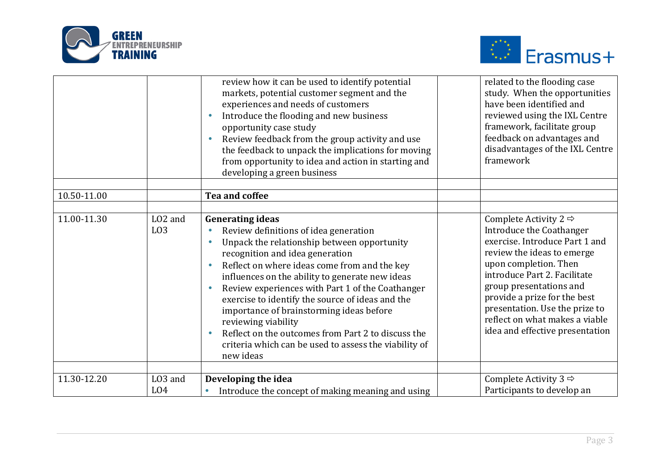



|             |                                         | review how it can be used to identify potential<br>markets, potential customer segment and the<br>experiences and needs of customers<br>Introduce the flooding and new business<br>opportunity case study<br>Review feedback from the group activity and use<br>the feedback to unpack the implications for moving<br>from opportunity to idea and action in starting and<br>developing a green business                                                                                                                                                                  | related to the flooding case<br>study. When the opportunities<br>have been identified and<br>reviewed using the IXL Centre<br>framework, facilitate group<br>feedback on advantages and<br>disadvantages of the IXL Centre<br>framework                                                                                                                  |
|-------------|-----------------------------------------|---------------------------------------------------------------------------------------------------------------------------------------------------------------------------------------------------------------------------------------------------------------------------------------------------------------------------------------------------------------------------------------------------------------------------------------------------------------------------------------------------------------------------------------------------------------------------|----------------------------------------------------------------------------------------------------------------------------------------------------------------------------------------------------------------------------------------------------------------------------------------------------------------------------------------------------------|
|             |                                         |                                                                                                                                                                                                                                                                                                                                                                                                                                                                                                                                                                           |                                                                                                                                                                                                                                                                                                                                                          |
| 10.50-11.00 |                                         | <b>Tea and coffee</b>                                                                                                                                                                                                                                                                                                                                                                                                                                                                                                                                                     |                                                                                                                                                                                                                                                                                                                                                          |
| 11.00-11.30 | LO <sub>2</sub> and<br>L <sub>0</sub> 3 | <b>Generating ideas</b><br>Review definitions of idea generation<br>Unpack the relationship between opportunity<br>$\bullet$<br>recognition and idea generation<br>Reflect on where ideas come from and the key<br>influences on the ability to generate new ideas<br>Review experiences with Part 1 of the Coathanger<br>exercise to identify the source of ideas and the<br>importance of brainstorming ideas before<br>reviewing viability<br>Reflect on the outcomes from Part 2 to discuss the<br>criteria which can be used to assess the viability of<br>new ideas | Complete Activity 2 $\Rightarrow$<br>Introduce the Coathanger<br>exercise. Introduce Part 1 and<br>review the ideas to emerge<br>upon completion. Then<br>introduce Part 2. Facilitate<br>group presentations and<br>provide a prize for the best<br>presentation. Use the prize to<br>reflect on what makes a viable<br>idea and effective presentation |
| 11.30-12.20 | LO3 and<br>L <sub>04</sub>              | Developing the idea<br>Introduce the concept of making meaning and using<br>$\bullet$                                                                                                                                                                                                                                                                                                                                                                                                                                                                                     | Complete Activity 3 $\Rightarrow$<br>Participants to develop an                                                                                                                                                                                                                                                                                          |